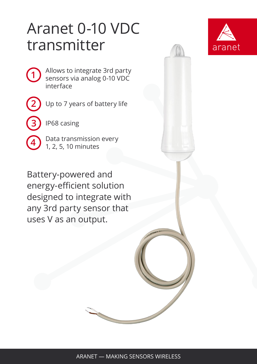## Aranet 0-10 VDC transmitter



Allows to integrate 3rd party sensors via analog 0-10 VDC interface

**2**

**3**

**4**

**1**

Up to 7 years of battery life

IP68 casing

Data transmission every 1, 2, 5, 10 minutes

Battery-powered and energy-efficient solution designed to integrate with any 3rd party sensor that uses V as an output.